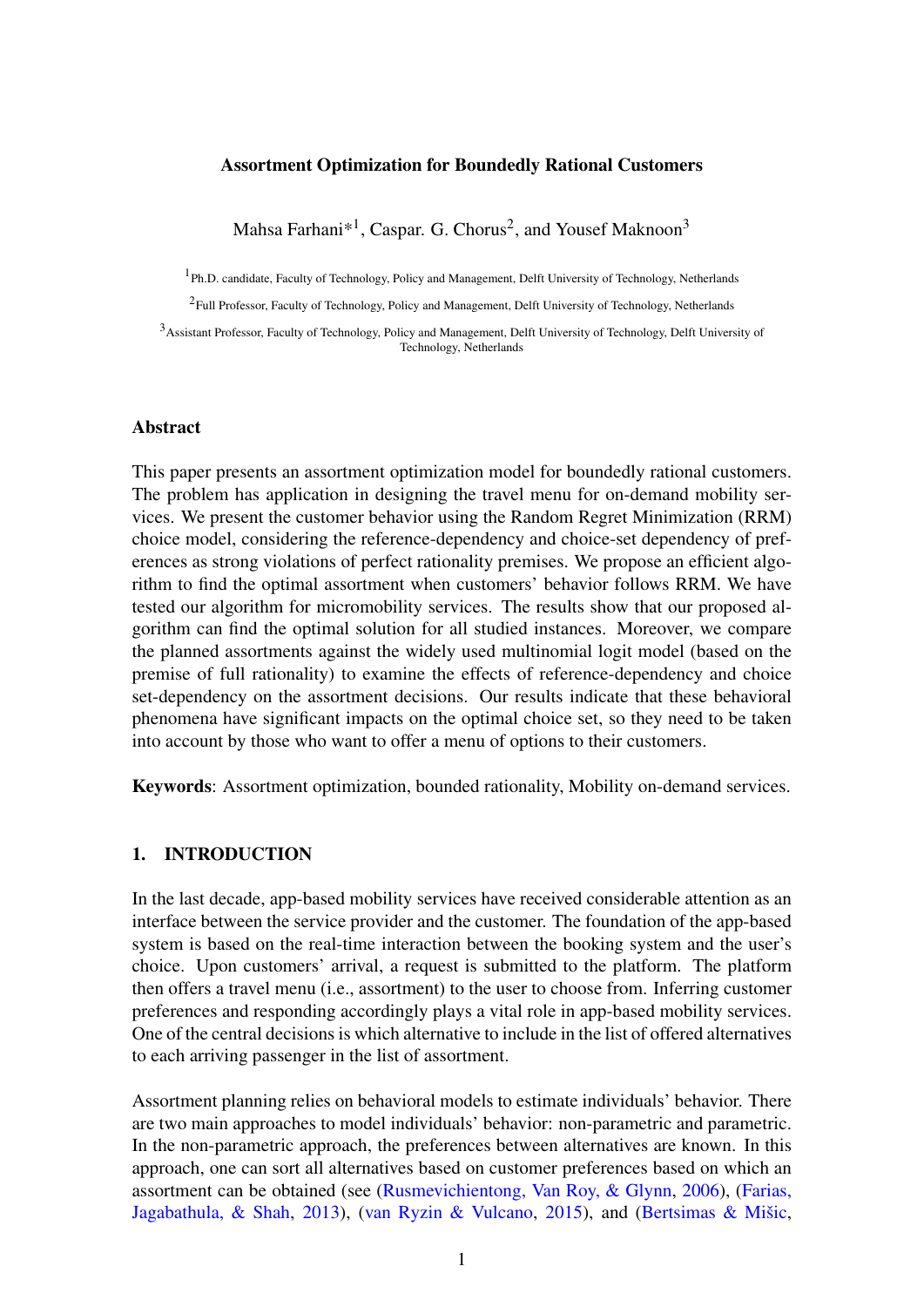## Assortment Optimization for Boundedly Rational Customers

Mahsa Farhani $^{\ast1}$ , Caspar. G. Chorus<sup>2</sup>, and Yousef Maknoon<sup>3</sup>

<sup>1</sup>Ph.D. candidate, Faculty of Technology, Policy and Management, Delft University of Technology, Netherlands

<sup>2</sup> Full Professor, Faculty of Technology, Policy and Management, Delft University of Technology, Netherlands

<sup>3</sup>Assistant Professor, Faculty of Technology, Policy and Management, Delft University of Technology, Delft University of Technology, Netherlands

#### Abstract

This paper presents an assortment optimization model for boundedly rational customers. The problem has application in designing the travel menu for on-demand mobility services. We present the customer behavior using the Random Regret Minimization (RRM) choice model, considering the reference-dependency and choice-set dependency of preferences as strong violations of perfect rationality premises. We propose an efficient algorithm to find the optimal assortment when customers' behavior follows RRM. We have tested our algorithm for micromobility services. The results show that our proposed algorithm can find the optimal solution for all studied instances. Moreover, we compare the planned assortments against the widely used multinomial logit model (based on the premise of full rationality) to examine the effects of reference-dependency and choice set-dependency on the assortment decisions. Our results indicate that these behavioral phenomena have significant impacts on the optimal choice set, so they need to be taken into account by those who want to offer a menu of options to their customers.

Keywords: Assortment optimization, bounded rationality, Mobility on-demand services.

#### 1. INTRODUCTION

In the last decade, app-based mobility services have received considerable attention as an interface between the service provider and the customer. The foundation of the app-based system is based on the real-time interaction between the booking system and the user's choice. Upon customers' arrival, a request is submitted to the platform. The platform then offers a travel menu (i.e., assortment) to the user to choose from. Inferring customer preferences and responding accordingly plays a vital role in app-based mobility services. One of the central decisions is which alternative to include in the list of offered alternatives to each arriving passenger in the list of assortment.

Assortment planning relies on behavioral models to estimate individuals' behavior. There are two main approaches to model individuals' behavior: non-parametric and parametric. In the non-parametric approach, the preferences between alternatives are known. In this approach, one can sort all alternatives based on customer preferences based on which an assortment can be obtained (see [\(Rusmevichientong, Van Roy, & Glynn,](#page-7-0) [2006\)](#page-7-0), [\(Farias,](#page-6-0) [Jagabathula, & Shah,](#page-6-0) [2013\)](#page-6-0), [\(van Ryzin & Vulcano,](#page-7-1) [2015\)](#page-7-1), and [\(Bertsimas & Mišic,](#page-6-1)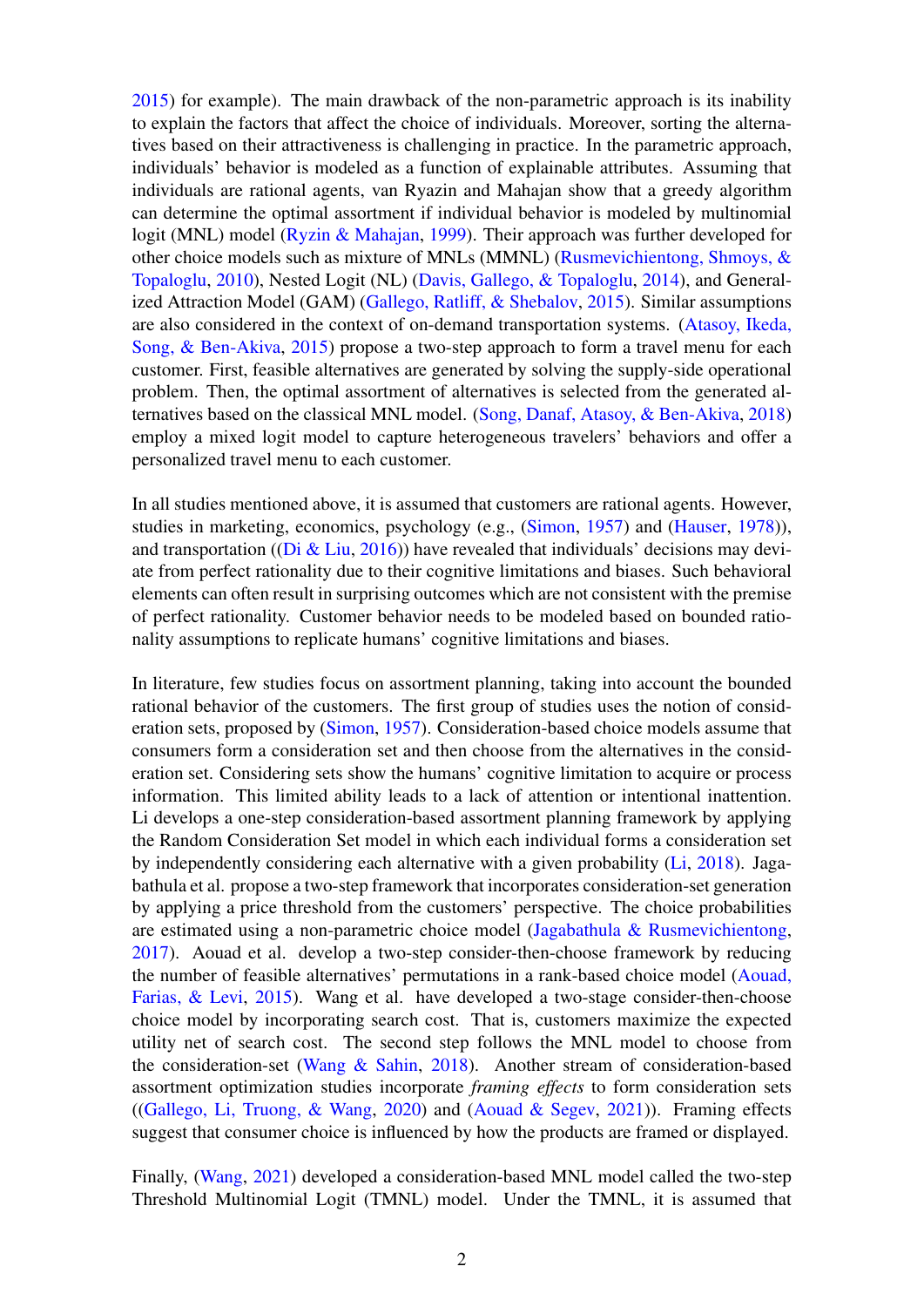[2015\)](#page-6-1) for example). The main drawback of the non-parametric approach is its inability to explain the factors that affect the choice of individuals. Moreover, sorting the alternatives based on their attractiveness is challenging in practice. In the parametric approach, individuals' behavior is modeled as a function of explainable attributes. Assuming that individuals are rational agents, van Ryazin and Mahajan show that a greedy algorithm can determine the optimal assortment if individual behavior is modeled by multinomial logit (MNL) model [\(Ryzin & Mahajan,](#page-7-2) [1999\)](#page-7-2). Their approach was further developed for other choice models such as mixture of MNLs (MMNL) [\(Rusmevichientong, Shmoys, &](#page-7-3) [Topaloglu,](#page-7-3) [2010\)](#page-7-3), Nested Logit (NL) [\(Davis, Gallego, & Topaloglu,](#page-6-2) [2014\)](#page-6-2), and Generalized Attraction Model (GAM) [\(Gallego, Ratliff, & Shebalov,](#page-6-3) [2015\)](#page-6-3). Similar assumptions are also considered in the context of on-demand transportation systems. [\(Atasoy, Ikeda,](#page-6-4) [Song, & Ben-Akiva,](#page-6-4) [2015\)](#page-6-4) propose a two-step approach to form a travel menu for each customer. First, feasible alternatives are generated by solving the supply-side operational problem. Then, the optimal assortment of alternatives is selected from the generated alternatives based on the classical MNL model. [\(Song, Danaf, Atasoy, & Ben-Akiva,](#page-7-4) [2018\)](#page-7-4) employ a mixed logit model to capture heterogeneous travelers' behaviors and offer a personalized travel menu to each customer.

In all studies mentioned above, it is assumed that customers are rational agents. However, studies in marketing, economics, psychology (e.g., [\(Simon,](#page-7-5) [1957\)](#page-7-5) and [\(Hauser,](#page-6-5) [1978\)](#page-6-5)), and transportation ((Di  $&$  Liu, [2016\)](#page-6-6)) have revealed that individuals' decisions may deviate from perfect rationality due to their cognitive limitations and biases. Such behavioral elements can often result in surprising outcomes which are not consistent with the premise of perfect rationality. Customer behavior needs to be modeled based on bounded rationality assumptions to replicate humans' cognitive limitations and biases.

In literature, few studies focus on assortment planning, taking into account the bounded rational behavior of the customers. The first group of studies uses the notion of consideration sets, proposed by [\(Simon,](#page-7-5) [1957\)](#page-7-5). Consideration-based choice models assume that consumers form a consideration set and then choose from the alternatives in the consideration set. Considering sets show the humans' cognitive limitation to acquire or process information. This limited ability leads to a lack of attention or intentional inattention. Li develops a one-step consideration-based assortment planning framework by applying the Random Consideration Set model in which each individual forms a consideration set by independently considering each alternative with a given probability [\(Li,](#page-6-7) [2018\)](#page-6-7). Jagabathula et al. propose a two-step framework that incorporates consideration-set generation by applying a price threshold from the customers' perspective. The choice probabilities are estimated using a non-parametric choice model [\(Jagabathula & Rusmevichientong,](#page-6-8) [2017\)](#page-6-8). Aouad et al. develop a two-step consider-then-choose framework by reducing the number of feasible alternatives' permutations in a rank-based choice model [\(Aouad,](#page-6-9) [Farias, & Levi,](#page-6-9) [2015\)](#page-6-9). Wang et al. have developed a two-stage consider-then-choose choice model by incorporating search cost. That is, customers maximize the expected utility net of search cost. The second step follows the MNL model to choose from the consideration-set [\(Wang & Sahin,](#page-7-6) [2018\)](#page-7-6). Another stream of consideration-based assortment optimization studies incorporate *framing effects* to form consideration sets ((Gallego, Li, Truong,  $\&$  Wang, [2020\)](#page-6-10) and (Aouad  $\&$  Segev, [2021\)](#page-6-11)). Framing effects suggest that consumer choice is influenced by how the products are framed or displayed.

Finally, [\(Wang,](#page-7-7) [2021\)](#page-7-7) developed a consideration-based MNL model called the two-step Threshold Multinomial Logit (TMNL) model. Under the TMNL, it is assumed that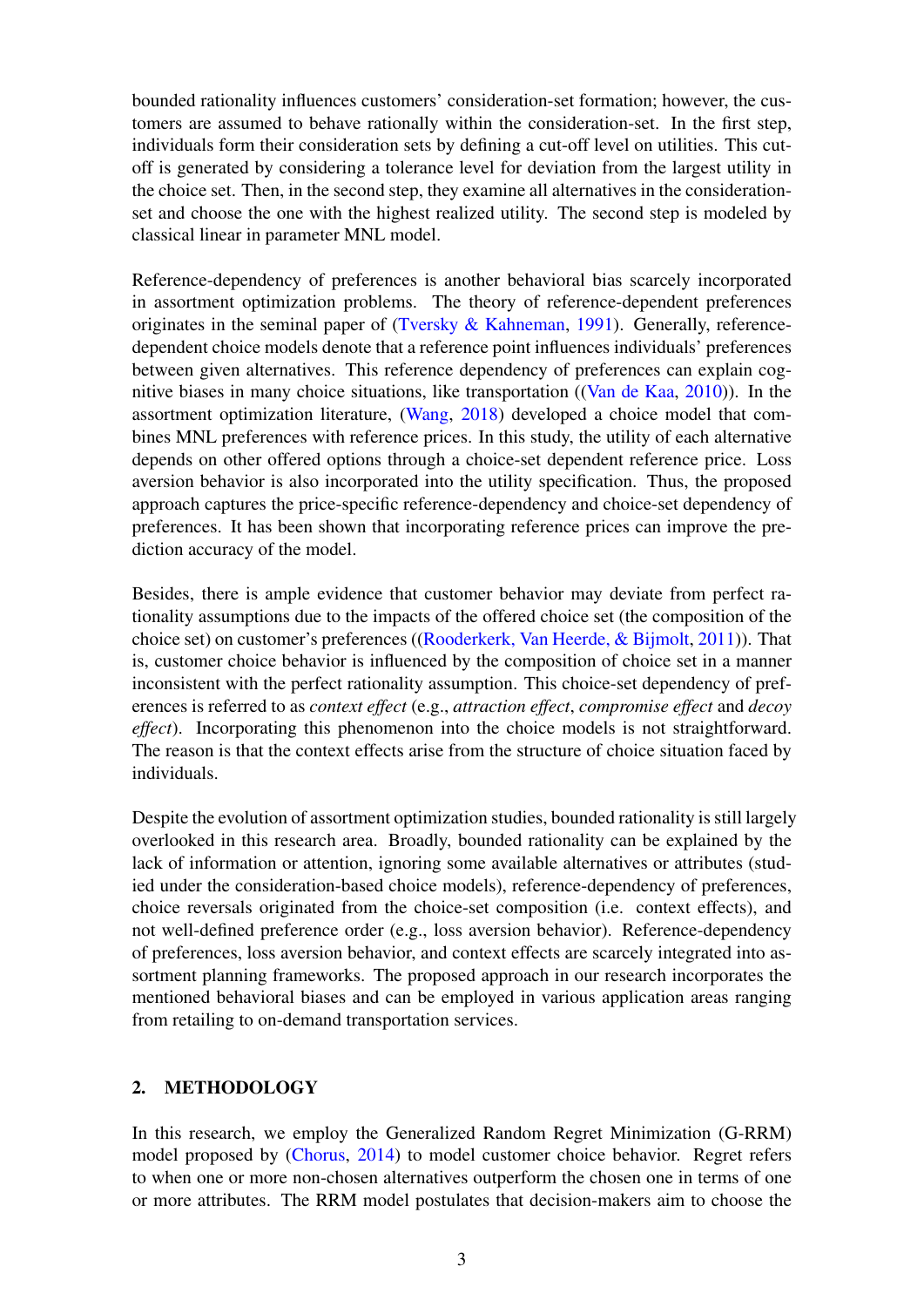bounded rationality influences customers' consideration-set formation; however, the customers are assumed to behave rationally within the consideration-set. In the first step, individuals form their consideration sets by defining a cut-off level on utilities. This cutoff is generated by considering a tolerance level for deviation from the largest utility in the choice set. Then, in the second step, they examine all alternatives in the considerationset and choose the one with the highest realized utility. The second step is modeled by classical linear in parameter MNL model.

Reference-dependency of preferences is another behavioral bias scarcely incorporated in assortment optimization problems. The theory of reference-dependent preferences originates in the seminal paper of [\(Tversky & Kahneman,](#page-7-8) [1991\)](#page-7-8). Generally, referencedependent choice models denote that a reference point influences individuals' preferences between given alternatives. This reference dependency of preferences can explain cognitive biases in many choice situations, like transportation ([\(Van de Kaa,](#page-7-9) [2010\)](#page-7-9)). In the assortment optimization literature, [\(Wang,](#page-7-10) [2018\)](#page-7-10) developed a choice model that combines MNL preferences with reference prices. In this study, the utility of each alternative depends on other offered options through a choice-set dependent reference price. Loss aversion behavior is also incorporated into the utility specification. Thus, the proposed approach captures the price-specific reference-dependency and choice-set dependency of preferences. It has been shown that incorporating reference prices can improve the prediction accuracy of the model.

Besides, there is ample evidence that customer behavior may deviate from perfect rationality assumptions due to the impacts of the offered choice set (the composition of the choice set) on customer's preferences ([\(Rooderkerk, Van Heerde, & Bijmolt,](#page-7-11) [2011\)](#page-7-11)). That is, customer choice behavior is influenced by the composition of choice set in a manner inconsistent with the perfect rationality assumption. This choice-set dependency of preferences is referred to as *context effect* (e.g., *attraction effect*, *compromise effect* and *decoy effect*). Incorporating this phenomenon into the choice models is not straightforward. The reason is that the context effects arise from the structure of choice situation faced by individuals.

Despite the evolution of assortment optimization studies, bounded rationality is still largely overlooked in this research area. Broadly, bounded rationality can be explained by the lack of information or attention, ignoring some available alternatives or attributes (studied under the consideration-based choice models), reference-dependency of preferences, choice reversals originated from the choice-set composition (i.e. context effects), and not well-defined preference order (e.g., loss aversion behavior). Reference-dependency of preferences, loss aversion behavior, and context effects are scarcely integrated into assortment planning frameworks. The proposed approach in our research incorporates the mentioned behavioral biases and can be employed in various application areas ranging from retailing to on-demand transportation services.

# 2. METHODOLOGY

In this research, we employ the Generalized Random Regret Minimization (G-RRM) model proposed by [\(Chorus,](#page-6-12) [2014\)](#page-6-12) to model customer choice behavior. Regret refers to when one or more non-chosen alternatives outperform the chosen one in terms of one or more attributes. The RRM model postulates that decision-makers aim to choose the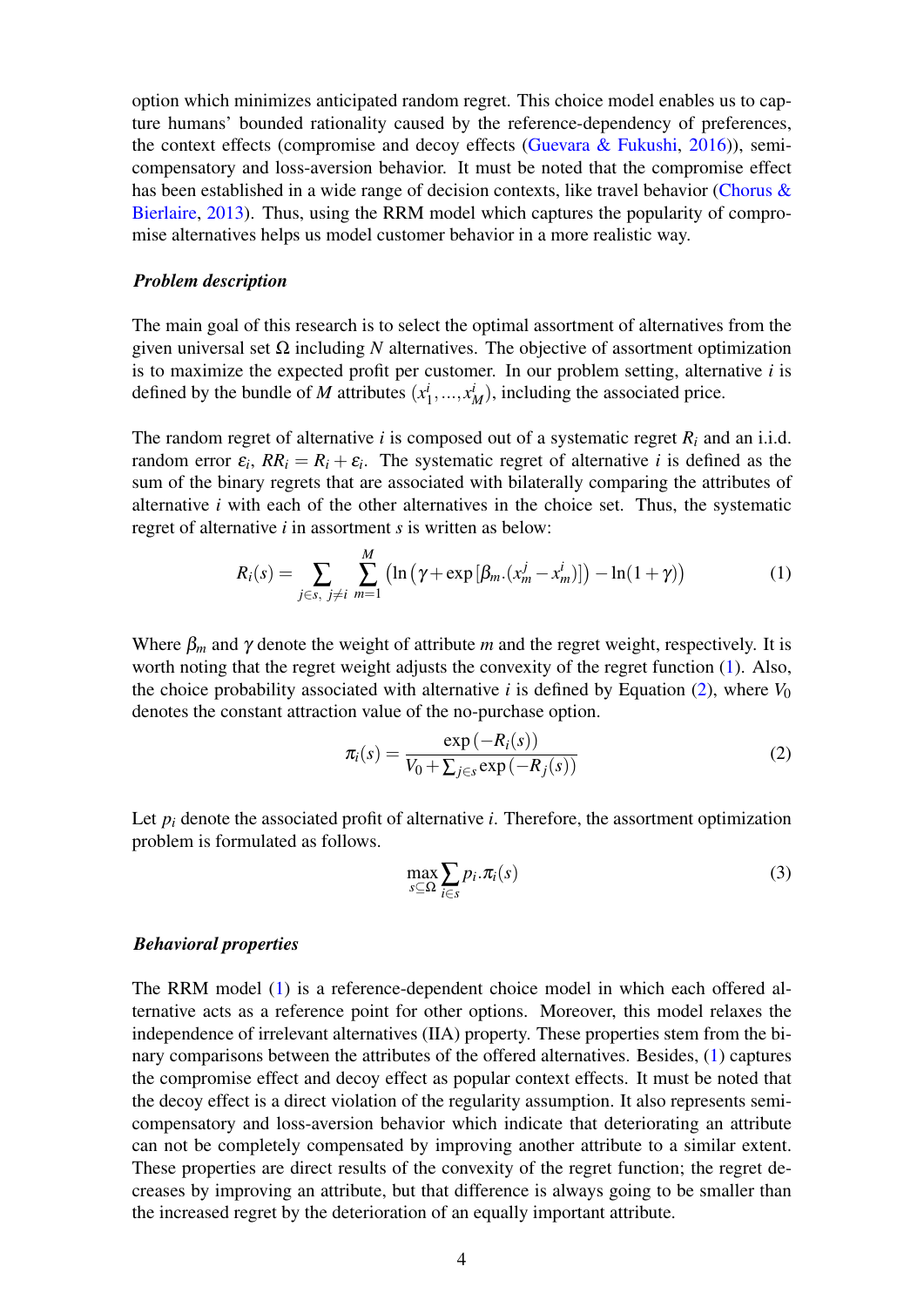option which minimizes anticipated random regret. This choice model enables us to capture humans' bounded rationality caused by the reference-dependency of preferences, the context effects (compromise and decoy effects [\(Guevara & Fukushi,](#page-6-13) [2016\)](#page-6-13)), semicompensatory and loss-aversion behavior. It must be noted that the compromise effect has been established in a wide range of decision contexts, like travel behavior [\(Chorus &](#page-6-14) [Bierlaire,](#page-6-14) [2013\)](#page-6-14). Thus, using the RRM model which captures the popularity of compromise alternatives helps us model customer behavior in a more realistic way.

#### *Problem description*

The main goal of this research is to select the optimal assortment of alternatives from the given universal set Ω including *N* alternatives. The objective of assortment optimization is to maximize the expected profit per customer. In our problem setting, alternative *i* is defined by the bundle of *M* attributes (*x i*  $x_1^i, ..., x_M^i$ , including the associated price.

The random regret of alternative *i* is composed out of a systematic regret  $R_i$  and an i.i.d. random error  $\varepsilon_i$ ,  $RR_i = R_i + \varepsilon_i$ . The systematic regret of alternative *i* is defined as the sum of the binary regrets that are associated with bilaterally comparing the attributes of alternative *i* with each of the other alternatives in the choice set. Thus, the systematic regret of alternative *i* in assortment *s* is written as below:

$$
R_i(s) = \sum_{j \in s, j \neq i} \sum_{m=1}^{M} \left( \ln \left( \gamma + \exp \left[ \beta_m \left( x_m^j - x_m^i \right) \right] \right) - \ln(1 + \gamma) \right) \tag{1}
$$

Where  $\beta_m$  and  $\gamma$  denote the weight of attribute *m* and the regret weight, respectively. It is worth noting that the regret weight adjusts the convexity of the regret function [\(1\)](#page-3-0). Also, the choice probability associated with alternative *i* is defined by Equation [\(2\)](#page-3-1), where  $V_0$ denotes the constant attraction value of the no-purchase option.

<span id="page-3-1"></span><span id="page-3-0"></span>
$$
\pi_i(s) = \frac{\exp(-R_i(s))}{V_0 + \sum_{j \in s} \exp(-R_j(s))}
$$
\n(2)

Let  $p_i$  denote the associated profit of alternative *i*. Therefore, the assortment optimization problem is formulated as follows.

<span id="page-3-2"></span>
$$
\max_{s \subseteq \Omega} \sum_{i \in s} p_i . \pi_i(s) \tag{3}
$$

## *Behavioral properties*

The RRM model [\(1\)](#page-3-0) is a reference-dependent choice model in which each offered alternative acts as a reference point for other options. Moreover, this model relaxes the independence of irrelevant alternatives (IIA) property. These properties stem from the binary comparisons between the attributes of the offered alternatives. Besides, [\(1\)](#page-3-0) captures the compromise effect and decoy effect as popular context effects. It must be noted that the decoy effect is a direct violation of the regularity assumption. It also represents semicompensatory and loss-aversion behavior which indicate that deteriorating an attribute can not be completely compensated by improving another attribute to a similar extent. These properties are direct results of the convexity of the regret function; the regret decreases by improving an attribute, but that difference is always going to be smaller than the increased regret by the deterioration of an equally important attribute.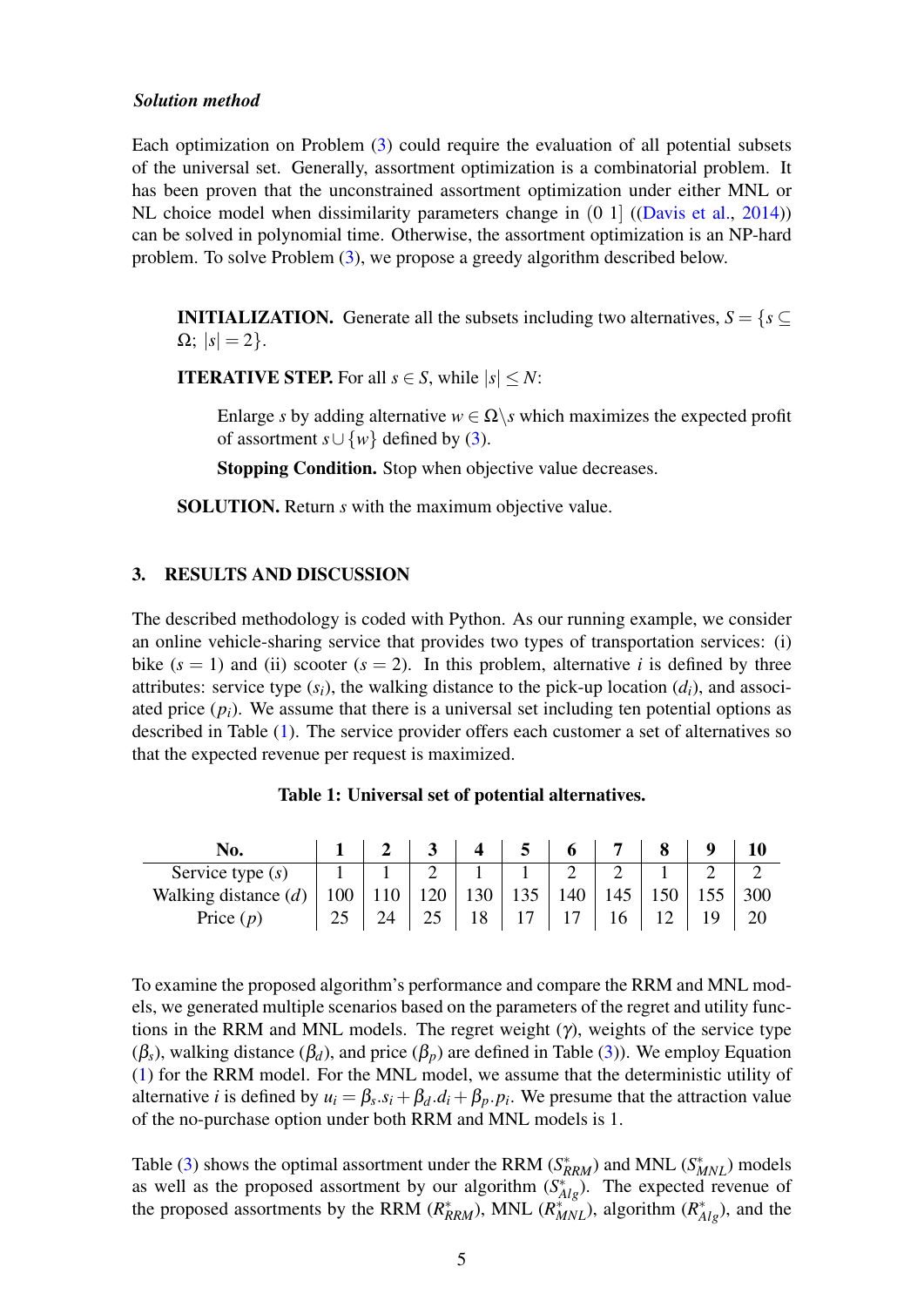## *Solution method*

Each optimization on Problem [\(3\)](#page-3-2) could require the evaluation of all potential subsets of the universal set. Generally, assortment optimization is a combinatorial problem. It has been proven that the unconstrained assortment optimization under either MNL or NL choice model when dissimilarity parameters change in (0 1] ([\(Davis et al.,](#page-6-2) [2014\)](#page-6-2)) can be solved in polynomial time. Otherwise, the assortment optimization is an NP-hard problem. To solve Problem [\(3\)](#page-3-2), we propose a greedy algorithm described below.

**INITIALIZATION.** Generate all the subsets including two alternatives,  $S = \{s \subseteq S\}$  $Ω; |s| = 2$ .

**ITERATIVE STEP.** For all  $s \in S$ , while  $|s| \leq N$ :

Enlarge *s* by adding alternative  $w \in \Omega$  *s* which maximizes the expected profit of assortment  $s \cup \{w\}$  defined by [\(3\)](#page-3-2).

Stopping Condition. Stop when objective value decreases.

SOLUTION. Return *s* with the maximum objective value.

### 3. RESULTS AND DISCUSSION

The described methodology is coded with Python. As our running example, we consider an online vehicle-sharing service that provides two types of transportation services: (i) bike  $(s = 1)$  and (ii) scooter  $(s = 2)$ . In this problem, alternative *i* is defined by three attributes: service type  $(s_i)$ , the walking distance to the pick-up location  $(d_i)$ , and associated price  $(p_i)$ . We assume that there is a universal set including ten potential options as described in Table [\(1\)](#page-4-0). The service provider offers each customer a set of alternatives so that the expected revenue per request is maximized.

<span id="page-4-0"></span>

| No.   1   2   3   4   5   6   7   8   9   10 |  |  |  |  |  |
|----------------------------------------------|--|--|--|--|--|

Service type  $(s)$  1 1 2 1 2 1 1 2 2 2 1 2 Walking distance (*d*) | 100 | 110 | 120 | 130 | 135 | 140 | 145 | 150 | 155 | 300 Price (*p*) 25 24 25 18 17 17 16 12 19 20

| Table 1: Universal set of potential alternatives. |  |  |  |
|---------------------------------------------------|--|--|--|
|---------------------------------------------------|--|--|--|

Table [\(3\)](#page-5-0) shows the optimal assortment under the RRM ( $S^*_{RRM}$ ) and MNL ( $S^*_{MNL}$ ) models as well as the proposed assortment by our algorithm  $(S_{Alg}^*)$ . The expected revenue of the proposed assortments by the RRM  $(R^*_{RRM})$ , MNL  $(R^*_{MNL})$ , algorithm  $(R^*_{Alg})$ , and the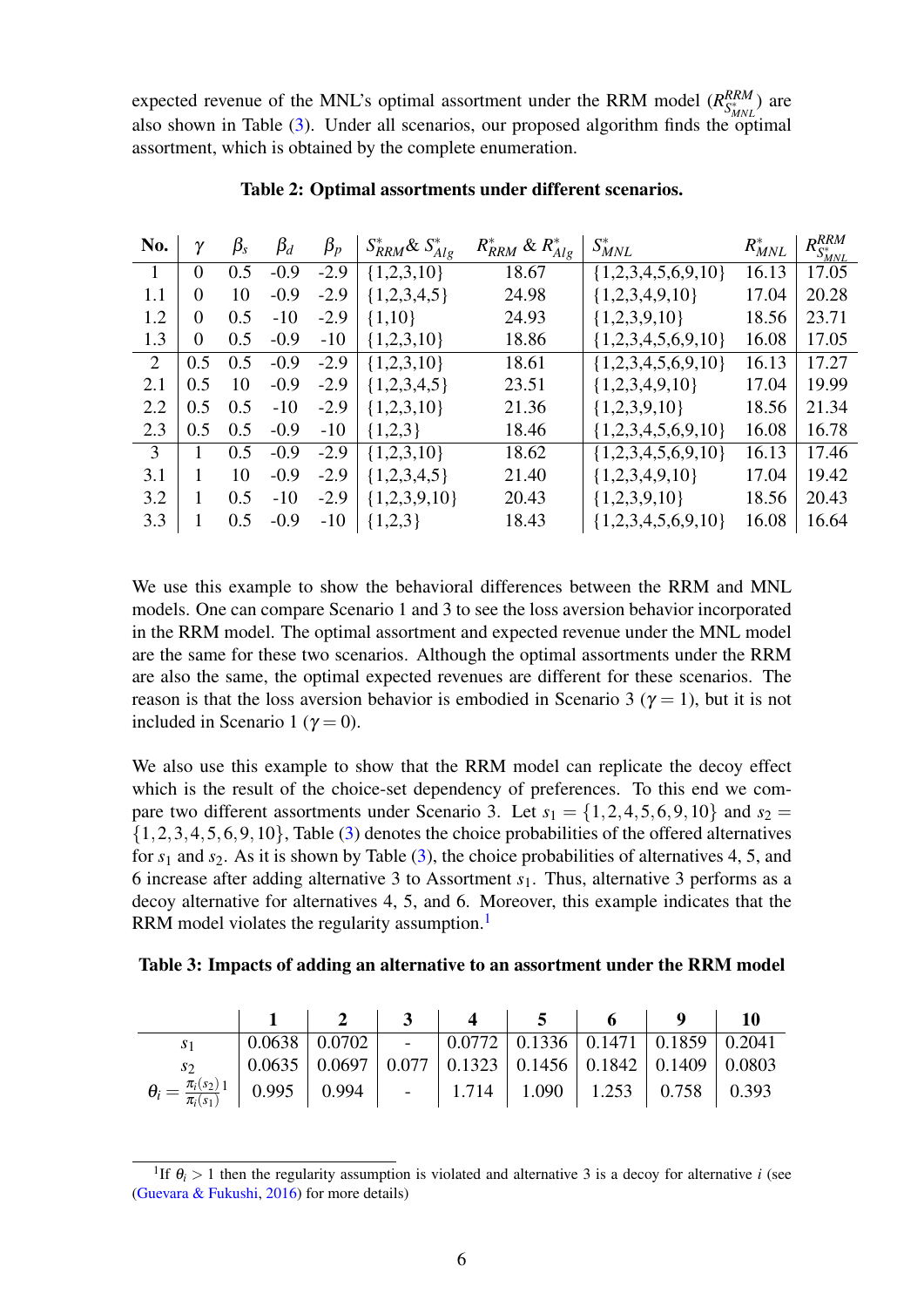expected revenue of the MNL's optimal assortment under the RRM model ( $R_{S_{\text{max}}^*}^{RRM}$ *S* ∗ *MNL* ) are also shown in Table [\(3\)](#page-5-0). Under all scenarios, our proposed algorithm finds the optimal assortment, which is obtained by the complete enumeration.

| No. |          | $\beta_{s}$ | $\beta_d$ | $\beta_p$ | $S_{RRM}^*$ & $S_{Alg}^*$ | $R^*_{RRM}$ & $R^*_{Alg}$ | $S^*_{MNL}$            | $R^*_{MNL}$ | $R_{S_{MNL}}^{RRM}$ |
|-----|----------|-------------|-----------|-----------|---------------------------|---------------------------|------------------------|-------------|---------------------|
| 1   | $\theta$ | 0.5         | $-0.9$    | $-2.9$    | $\{1,2,3,10\}$            | 18.67                     | $\{1,2,3,4,5,6,9,10\}$ | 16.13       | 17.05               |
| 1.1 | $\theta$ | 10          | $-0.9$    | $-2.9$    | $\{1,2,3,4,5\}$           | 24.98                     | ${1,2,3,4,9,10}$       | 17.04       | 20.28               |
| 1.2 | $\Omega$ | 0.5         | $-10$     | $-2.9$    | ${1,10}$                  | 24.93                     | $\{1,2,3,9,10\}$       | 18.56       | 23.71               |
| 1.3 | $\theta$ | 0.5         | $-0.9$    | $-10$     | $\{1,2,3,10\}$            | 18.86                     | $\{1,2,3,4,5,6,9,10\}$ | 16.08       | 17.05               |
| 2   | 0.5      | 0.5         | $-0.9$    | $-2.9$    | $\{1,2,3,10\}$            | 18.61                     | $\{1,2,3,4,5,6,9,10\}$ | 16.13       | 17.27               |
| 2.1 | 0.5      | 10          | $-0.9$    | $-2.9$    | $\{1,2,3,4,5\}$           | 23.51                     | $\{1,2,3,4,9,10\}$     | 17.04       | 19.99               |
| 2.2 | 0.5      | 0.5         | $-10$     | $-2.9$    | $\{1,2,3,10\}$            | 21.36                     | $\{1,2,3,9,10\}$       | 18.56       | 21.34               |
| 2.3 | 0.5      | 0.5         | $-0.9$    | $-10$     | ${1,2,3}$                 | 18.46                     | $\{1,2,3,4,5,6,9,10\}$ | 16.08       | 16.78               |
| 3   |          | 0.5         | $-0.9$    | $-2.9$    | $\{1,2,3,10\}$            | 18.62                     | $\{1,2,3,4,5,6,9,10\}$ | 16.13       | 17.46               |
| 3.1 |          | 10          | $-0.9$    | $-2.9$    | $\{1,2,3,4,5\}$           | 21.40                     | $\{1,2,3,4,9,10\}$     | 17.04       | 19.42               |
| 3.2 |          | 0.5         | $-10$     | $-2.9$    | $\{1,2,3,9,10\}$          | 20.43                     | $\{1,2,3,9,10\}$       | 18.56       | 20.43               |
| 3.3 |          | 0.5         | $-0.9$    | $-10$     | ${1,2,3}$                 | 18.43                     | $\{1,2,3,4,5,6,9,10\}$ | 16.08       | 16.64               |

## Table 2: Optimal assortments under different scenarios.

We use this example to show the behavioral differences between the RRM and MNL models. One can compare Scenario 1 and 3 to see the loss aversion behavior incorporated in the RRM model. The optimal assortment and expected revenue under the MNL model are the same for these two scenarios. Although the optimal assortments under the RRM are also the same, the optimal expected revenues are different for these scenarios. The reason is that the loss aversion behavior is embodied in Scenario 3 ( $\gamma = 1$ ), but it is not included in Scenario 1 ( $\gamma = 0$ ).

We also use this example to show that the RRM model can replicate the decoy effect which is the result of the choice-set dependency of preferences. To this end we compare two different assortments under Scenario 3. Let  $s_1 = \{1, 2, 4, 5, 6, 9, 10\}$  and  $s_2 =$  $\{1,2,3,4,5,6,9,10\}$ , Table [\(3\)](#page-5-0) denotes the choice probabilities of the offered alternatives for *s*<sup>1</sup> and *s*2. As it is shown by Table [\(3\)](#page-5-0), the choice probabilities of alternatives 4, 5, and 6 increase after adding alternative 3 to Assortment *s*1. Thus, alternative 3 performs as a decoy alternative for alternatives 4, 5, and 6. Moreover, this example indicates that the RRM model violates the regularity assumption.<sup>[1](#page-5-1)</sup>

<span id="page-5-0"></span>

|                                                                                                        | $1 \mid 2 \mid 3 \mid 4 \mid 5 \mid 6 \mid 9 \mid 10$                                                                  |  |  |  |
|--------------------------------------------------------------------------------------------------------|------------------------------------------------------------------------------------------------------------------------|--|--|--|
|                                                                                                        |                                                                                                                        |  |  |  |
|                                                                                                        | $\vert$ 0.0635 $\vert$ 0.0697 $\vert$ 0.077 $\vert$ 0.1323 $\vert$ 0.1456 $\vert$ 0.1842 $\vert$ 0.1409 $\vert$ 0.0803 |  |  |  |
| $\theta_i = \frac{\pi_i(s_2)}{\pi_i(s_1)}$   0.995   0.994   -   1.714   1.090   1.253   0.758   0.393 |                                                                                                                        |  |  |  |

<span id="page-5-1"></span><sup>&</sup>lt;sup>1</sup>If  $\theta_i > 1$  then the regularity assumption is violated and alternative 3 is a decoy for alternative *i* (see [\(Guevara & Fukushi,](#page-6-13) [2016\)](#page-6-13) for more details)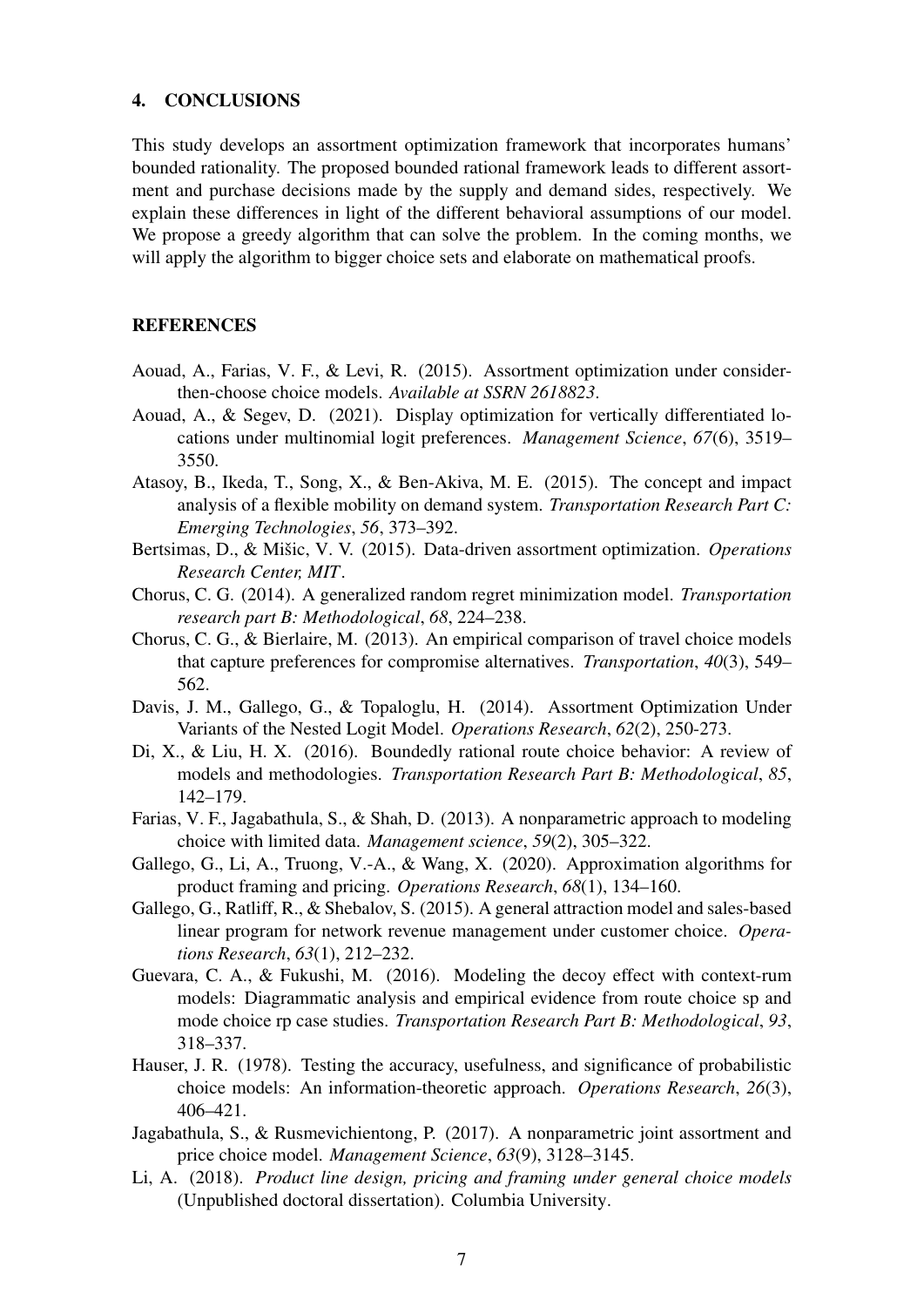## 4. CONCLUSIONS

This study develops an assortment optimization framework that incorporates humans' bounded rationality. The proposed bounded rational framework leads to different assortment and purchase decisions made by the supply and demand sides, respectively. We explain these differences in light of the different behavioral assumptions of our model. We propose a greedy algorithm that can solve the problem. In the coming months, we will apply the algorithm to bigger choice sets and elaborate on mathematical proofs.

### REFERENCES

- <span id="page-6-9"></span>Aouad, A., Farias, V. F., & Levi, R. (2015). Assortment optimization under considerthen-choose choice models. *Available at SSRN 2618823*.
- <span id="page-6-11"></span>Aouad, A., & Segev, D. (2021). Display optimization for vertically differentiated locations under multinomial logit preferences. *Management Science*, *67*(6), 3519– 3550.
- <span id="page-6-4"></span>Atasoy, B., Ikeda, T., Song, X., & Ben-Akiva, M. E. (2015). The concept and impact analysis of a flexible mobility on demand system. *Transportation Research Part C: Emerging Technologies*, *56*, 373–392.
- <span id="page-6-1"></span>Bertsimas, D., & Mišic, V. V. (2015). Data-driven assortment optimization. *Operations Research Center, MIT*.
- <span id="page-6-12"></span>Chorus, C. G. (2014). A generalized random regret minimization model. *Transportation research part B: Methodological*, *68*, 224–238.
- <span id="page-6-14"></span>Chorus, C. G., & Bierlaire, M. (2013). An empirical comparison of travel choice models that capture preferences for compromise alternatives. *Transportation*, *40*(3), 549– 562.
- <span id="page-6-2"></span>Davis, J. M., Gallego, G., & Topaloglu, H. (2014). Assortment Optimization Under Variants of the Nested Logit Model. *Operations Research*, *62*(2), 250-273.
- <span id="page-6-6"></span>Di, X., & Liu, H. X. (2016). Boundedly rational route choice behavior: A review of models and methodologies. *Transportation Research Part B: Methodological*, *85*, 142–179.
- <span id="page-6-0"></span>Farias, V. F., Jagabathula, S., & Shah, D. (2013). A nonparametric approach to modeling choice with limited data. *Management science*, *59*(2), 305–322.
- <span id="page-6-10"></span>Gallego, G., Li, A., Truong, V.-A., & Wang, X. (2020). Approximation algorithms for product framing and pricing. *Operations Research*, *68*(1), 134–160.
- <span id="page-6-3"></span>Gallego, G., Ratliff, R., & Shebalov, S. (2015). A general attraction model and sales-based linear program for network revenue management under customer choice. *Operations Research*, *63*(1), 212–232.
- <span id="page-6-13"></span>Guevara, C. A., & Fukushi, M. (2016). Modeling the decoy effect with context-rum models: Diagrammatic analysis and empirical evidence from route choice sp and mode choice rp case studies. *Transportation Research Part B: Methodological*, *93*, 318–337.
- <span id="page-6-5"></span>Hauser, J. R. (1978). Testing the accuracy, usefulness, and significance of probabilistic choice models: An information-theoretic approach. *Operations Research*, *26*(3), 406–421.
- <span id="page-6-8"></span>Jagabathula, S., & Rusmevichientong, P. (2017). A nonparametric joint assortment and price choice model. *Management Science*, *63*(9), 3128–3145.
- <span id="page-6-7"></span>Li, A. (2018). *Product line design, pricing and framing under general choice models* (Unpublished doctoral dissertation). Columbia University.